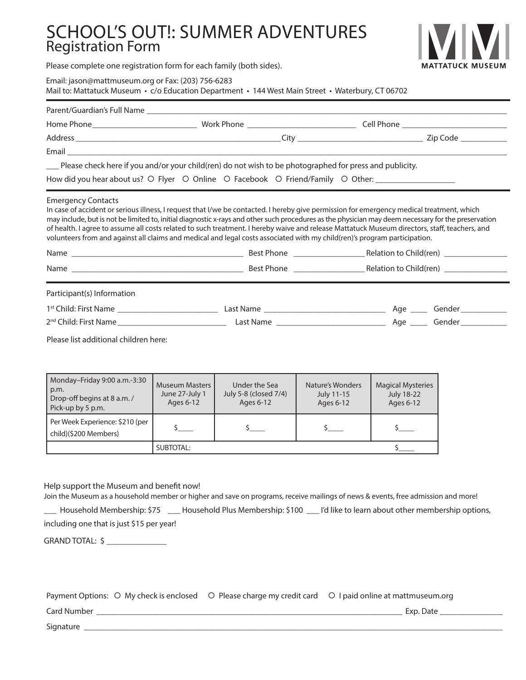# SCHOOL'S OUT!: SUMMER ADVENTURES Registration Form



Please complete one registration form for each family (both sides).

Email: jason@mattmuseum.org or Fax: (203) 756-6283

Mail to: Mattatuck Museum • c/o Education Department • 144 West Main Street • Waterbury, CT 06702

| __ Please check here if you and/or your child(ren) do not wish to be photographed for press and publicity.                                                                                                                                                                                                                                                                                                                                                                                                                                                                                                  |                                                      |                                                     |                                             |                                                            |  |  |
|-------------------------------------------------------------------------------------------------------------------------------------------------------------------------------------------------------------------------------------------------------------------------------------------------------------------------------------------------------------------------------------------------------------------------------------------------------------------------------------------------------------------------------------------------------------------------------------------------------------|------------------------------------------------------|-----------------------------------------------------|---------------------------------------------|------------------------------------------------------------|--|--|
| How did you hear about us? O Flyer O Online O Facebook O Friend/Family O Other: ___________________                                                                                                                                                                                                                                                                                                                                                                                                                                                                                                         |                                                      |                                                     |                                             |                                                            |  |  |
| <b>Emergency Contacts</b><br>In case of accident or serious illness, I request that I/we be contacted. I hereby give permission for emergency medical treatment, which<br>may include, but is not be limited to, initial diagnostic x-rays and other such procedures as the physician may deem necessary for the preservation<br>of health. I agree to assume all costs related to such treatment. I hereby waive and release Mattatuck Museum directors, staff, teachers, and<br>volunteers from and against all claims and medical and legal costs associated with my child(ren)'s program participation. |                                                      |                                                     |                                             |                                                            |  |  |
|                                                                                                                                                                                                                                                                                                                                                                                                                                                                                                                                                                                                             |                                                      |                                                     |                                             |                                                            |  |  |
|                                                                                                                                                                                                                                                                                                                                                                                                                                                                                                                                                                                                             |                                                      |                                                     |                                             |                                                            |  |  |
| Participant(s) Information                                                                                                                                                                                                                                                                                                                                                                                                                                                                                                                                                                                  |                                                      |                                                     |                                             |                                                            |  |  |
|                                                                                                                                                                                                                                                                                                                                                                                                                                                                                                                                                                                                             |                                                      |                                                     |                                             |                                                            |  |  |
|                                                                                                                                                                                                                                                                                                                                                                                                                                                                                                                                                                                                             |                                                      |                                                     |                                             |                                                            |  |  |
| Please list additional children here:                                                                                                                                                                                                                                                                                                                                                                                                                                                                                                                                                                       |                                                      |                                                     |                                             |                                                            |  |  |
|                                                                                                                                                                                                                                                                                                                                                                                                                                                                                                                                                                                                             |                                                      |                                                     |                                             |                                                            |  |  |
| Monday-Friday 9:00 a.m.-3:30<br>p.m.<br>Drop-off begins at 8 a.m. /<br>Pick-up by 5 p.m.                                                                                                                                                                                                                                                                                                                                                                                                                                                                                                                    | <b>Museum Masters</b><br>June 27-July 1<br>Ages 6-12 | Under the Sea<br>July 5-8 (closed 7/4)<br>Ages 6-12 | Nature's Wonders<br>July 11-15<br>Ages 6-12 | <b>Magical Mysteries</b><br><b>July 18-22</b><br>Ages 6-12 |  |  |
| Per Week Experience: \$210 (per<br>child)(\$200 Members)                                                                                                                                                                                                                                                                                                                                                                                                                                                                                                                                                    |                                                      | $\mathsf{s}\_$                                      | \$____                                      | $\frac{1}{2}$                                              |  |  |
|                                                                                                                                                                                                                                                                                                                                                                                                                                                                                                                                                                                                             | <b>SUBTOTAL:</b>                                     |                                                     |                                             | $\zeta$ $\qquad$                                           |  |  |
|                                                                                                                                                                                                                                                                                                                                                                                                                                                                                                                                                                                                             |                                                      |                                                     |                                             |                                                            |  |  |
| Help support the Museum and benefit now!<br>Join the Museum as a household member or higher and save on programs, receive mailings of news & events, free admission and more!<br>Household Membership: \$75 ___ Household Plus Membership: \$100 __ I'd like to learn about other membership options,<br>including one that is just \$15 per year!                                                                                                                                                                                                                                                          |                                                      |                                                     |                                             |                                                            |  |  |
| GRAND TOTAL: \$ ________________                                                                                                                                                                                                                                                                                                                                                                                                                                                                                                                                                                            |                                                      |                                                     |                                             |                                                            |  |  |
|                                                                                                                                                                                                                                                                                                                                                                                                                                                                                                                                                                                                             |                                                      |                                                     |                                             |                                                            |  |  |

| Payment Options: O My check is enclosed O Please charge my credit card O I paid online at mattmuseum.org |           |  |
|----------------------------------------------------------------------------------------------------------|-----------|--|
| Card Number                                                                                              | Exp. Date |  |
| Signature                                                                                                |           |  |